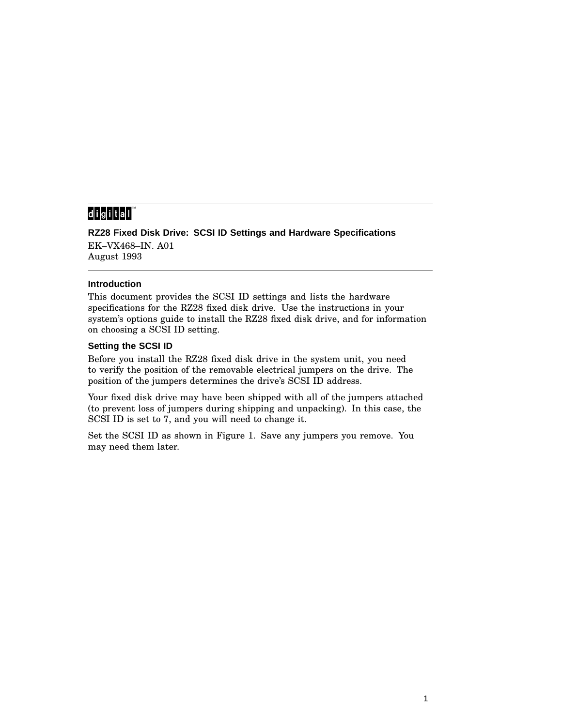## 

**RZ28 Fixed Disk Drive: SCSI ID Settings and Hardware Specifications** EK–VX468–IN. A01 August 1993

## **Introduction**

This document provides the SCSI ID settings and lists the hardware specifications for the RZ28 fixed disk drive. Use the instructions in your system's options guide to install the RZ28 fixed disk drive, and for information on choosing a SCSI ID setting.

## **Setting the SCSI ID**

Before you install the RZ28 fixed disk drive in the system unit, you need to verify the position of the removable electrical jumpers on the drive. The position of the jumpers determines the drive's SCSI ID address.

Your fixed disk drive may have been shipped with all of the jumpers attached (to prevent loss of jumpers during shipping and unpacking). In this case, the SCSI ID is set to 7, and you will need to change it.

Set the SCSI ID as shown in Figure 1. Save any jumpers you remove. You may need them later.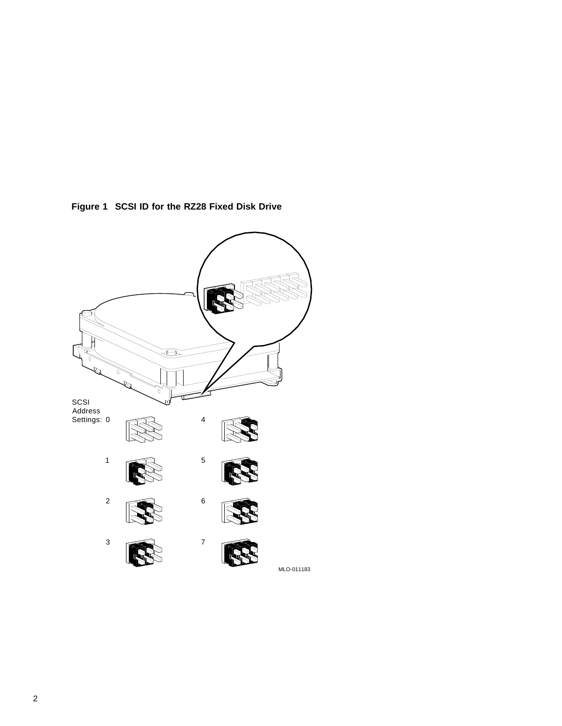

**Figure 1 SCSI ID for the RZ28 Fixed Disk Drive**